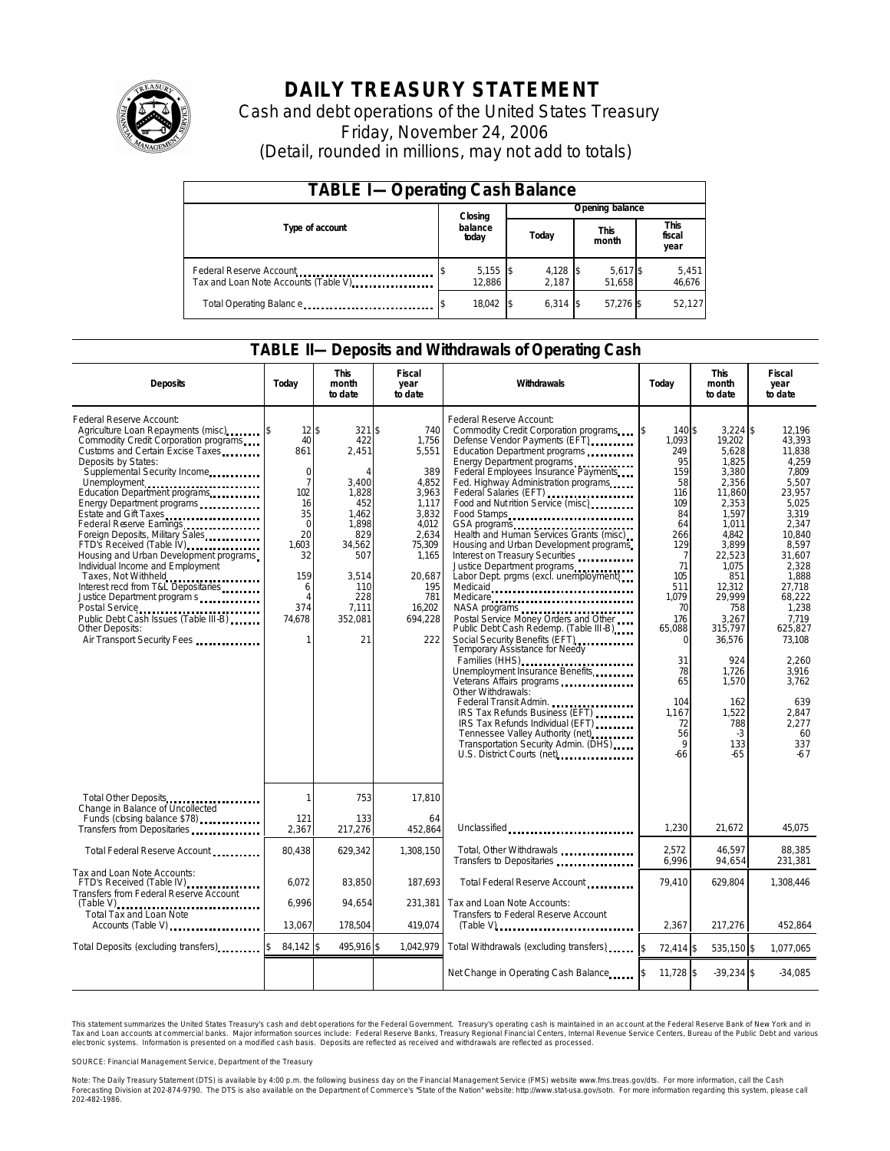

# **DAILY TREASURY STATEMENT**

Cash and debt operations of the United States Treasury Friday, November 24, 2006 (Detail, rounded in millions, may not add to totals)

| <b>TABLE I-Operating Cash Balance</b>                            |  |                      |  |                     |  |                      |  |                        |  |
|------------------------------------------------------------------|--|----------------------|--|---------------------|--|----------------------|--|------------------------|--|
|                                                                  |  | Closing              |  | Opening balance     |  |                      |  |                        |  |
| Type of account                                                  |  | balance<br>today     |  | Today               |  | <b>This</b><br>month |  | This<br>fiscal<br>year |  |
| Federal Reserve Account<br>Tax and Loan Note Accounts (Table V). |  | $5,155$ \$<br>12.886 |  | $4,128$ \$<br>2.187 |  | 5,617 \$<br>51.658   |  | 5,451<br>46,676        |  |
| Total Operating Balance                                          |  | 18,042               |  | $6.314$ \$          |  | 57,276 \$            |  | 52,127                 |  |

### **TABLE II—Deposits and Withdrawals of Operating Cash**

| <b>Deposits</b>                                                                                                                                                                                                                                                                                                                                                                                                                                                                                                                                                                                                                                                                    | Today                                                                                                                                                            | <b>This</b><br>month<br>to date                                                                                                                          | Fiscal<br>year<br>to date                                                                                                                                 | Withdrawals                                                                                                                                                                                                                                                                                                                                                                                                                                                                                                                                                                                                                                                                                                                                                                                                                                                                                                                                                                                                                                       | Today                                                                                                                                                                                                                               | <b>This</b><br>month<br>to date                                                                                                                                                                                                                                            | <b>Fiscal</b><br>year<br>to date                                                                                                                                                                                                                                               |
|------------------------------------------------------------------------------------------------------------------------------------------------------------------------------------------------------------------------------------------------------------------------------------------------------------------------------------------------------------------------------------------------------------------------------------------------------------------------------------------------------------------------------------------------------------------------------------------------------------------------------------------------------------------------------------|------------------------------------------------------------------------------------------------------------------------------------------------------------------|----------------------------------------------------------------------------------------------------------------------------------------------------------|-----------------------------------------------------------------------------------------------------------------------------------------------------------|---------------------------------------------------------------------------------------------------------------------------------------------------------------------------------------------------------------------------------------------------------------------------------------------------------------------------------------------------------------------------------------------------------------------------------------------------------------------------------------------------------------------------------------------------------------------------------------------------------------------------------------------------------------------------------------------------------------------------------------------------------------------------------------------------------------------------------------------------------------------------------------------------------------------------------------------------------------------------------------------------------------------------------------------------|-------------------------------------------------------------------------------------------------------------------------------------------------------------------------------------------------------------------------------------|----------------------------------------------------------------------------------------------------------------------------------------------------------------------------------------------------------------------------------------------------------------------------|--------------------------------------------------------------------------------------------------------------------------------------------------------------------------------------------------------------------------------------------------------------------------------|
| Federal Reserve Account:<br>Agriculture Loan Repayments (misc)<br>Commodity Credit Corporation programs<br>Customs and Certain Excise Taxes<br>Deposits by States:<br>Supplemental Security Income<br>Unemployment<br>Education Department programs<br>Energy Department programs<br>Estate and Gift Taxes<br><br>Federal Reserve Earnings<br>Foreign Deposits, Military Sales<br>FTD's Received (Table IV)<br>Housing and Urban Development programs<br>Individual Income and Employment<br>Taxes, Not Withheld<br>Interest recd from T&L Depositaries<br>Justice Department program s<br>Public Debt Cash Issues (Table III-B)<br>Other Deposits:<br>Air Transport Security Fees | $12$ \$<br>40<br>861<br>$\mathbf 0$<br>$\overline{7}$<br>102<br>16<br>35<br>$\mathbf 0$<br>20<br>1.603<br>32<br>159<br>6<br>$\overline{A}$<br>374<br>74,678<br>1 | $321$ \$<br>422<br>2,451<br>$\Delta$<br>3,400<br>1,828<br>452<br>1.462<br>1,898<br>829<br>34,562<br>507<br>3.514<br>110<br>228<br>7,111<br>352,081<br>21 | 740<br>1,756<br>5,551<br>389<br>4,852<br>3,963<br>1,117<br>3,832<br>4,012<br>2.634<br>75,309<br>1,165<br>20.687<br>195<br>781<br>16,202<br>694,228<br>222 | Federal Reserve Account:<br>Commodity Credit Corporation programs<br>Defense Vendor Payments (EFT)<br>Education Department programs<br>Energy Department programs<br>Federal Employees Insurance Payments<br>Fed. Highway Administration programs<br>Federal Salaries (EFT)<br>Food and Nutrition Service (misc)<br>Food Stamps<br>GSA programs<br>Health and Human Services Grants (misc)<br>Housing and Urban Development programs<br>Interest on Treasury Securities<br>Justice Department programs<br>Labor Dept. prgms (excl. unemployment)<br>Medicaid<br>Medicare<br>Postal Service Money Orders and Other<br>Public Debt Cash Redemp. (Table III-B)<br>Social Security Benefits (EFT)<br>Temporary Assistance for Needy<br>Families (HHS)<br>Unemployment Insurance Benefits<br>Veterans Affairs programs<br>Other Withdrawals:<br>Federal Transit Admin.<br>IRS Tax Refunds Business (EFT)<br>IRS Tax Refunds Individual (EFT)<br>Tennessee Valley Authority (net)<br>Transportation Security Admin. (DHS)<br>U.S. District Courts (net) | ß.<br>140 \$<br>1.093<br>249<br>95<br>159<br>58<br>116<br>109<br>84<br>64<br>266<br>129<br>7<br>71<br>105<br>511<br>1,079<br>70<br>176<br>65,088<br>$\Omega$<br>31<br>78<br>65<br>104<br>1.167<br>72<br>56<br>$\mathsf{Q}$<br>$-66$ | $3,224$ \$<br>19.202<br>5,628<br>1.825<br>3,380<br>2,356<br>11,860<br>2,353<br>1.597<br>1,011<br>4.842<br>3,899<br>22.523<br>1.075<br>851<br>12.312<br>29,999<br>758<br>3,267<br>315,797<br>36,576<br>924<br>1,726<br>1,570<br>162<br>1,522<br>788<br>$-3$<br>133<br>$-65$ | 12,196<br>43.393<br>11.838<br>4.259<br>7,809<br>5,507<br>23,957<br>5,025<br>3.319<br>2,347<br>10.840<br>8,597<br>31.607<br>2.328<br>1.888<br>27.718<br>68,222<br>1,238<br>7,719<br>625.827<br>73,108<br>2.260<br>3,916<br>3,762<br>639<br>2.847<br>2.277<br>60<br>337<br>$-67$ |
| Total Other Deposits<br>Change in Balance of Uncollected                                                                                                                                                                                                                                                                                                                                                                                                                                                                                                                                                                                                                           | 1                                                                                                                                                                | 753                                                                                                                                                      | 17,810                                                                                                                                                    |                                                                                                                                                                                                                                                                                                                                                                                                                                                                                                                                                                                                                                                                                                                                                                                                                                                                                                                                                                                                                                                   |                                                                                                                                                                                                                                     |                                                                                                                                                                                                                                                                            |                                                                                                                                                                                                                                                                                |
| Funds (closing balance \$78)<br>Transfers from Depositaries                                                                                                                                                                                                                                                                                                                                                                                                                                                                                                                                                                                                                        | 121<br>2,367                                                                                                                                                     | 133<br>217,276                                                                                                                                           | 64<br>452,864                                                                                                                                             | Unclassified                                                                                                                                                                                                                                                                                                                                                                                                                                                                                                                                                                                                                                                                                                                                                                                                                                                                                                                                                                                                                                      | 1,230                                                                                                                                                                                                                               | 21.672                                                                                                                                                                                                                                                                     | 45.075                                                                                                                                                                                                                                                                         |
| Total Federal Reserve Account                                                                                                                                                                                                                                                                                                                                                                                                                                                                                                                                                                                                                                                      | 80.438                                                                                                                                                           | 629,342                                                                                                                                                  | 1.308.150                                                                                                                                                 | Total, Other Withdrawals<br>Transfers to Depositaries                                                                                                                                                                                                                                                                                                                                                                                                                                                                                                                                                                                                                                                                                                                                                                                                                                                                                                                                                                                             | 2,572<br>6,996                                                                                                                                                                                                                      | 46,597<br>94,654                                                                                                                                                                                                                                                           | 88,385<br>231,381                                                                                                                                                                                                                                                              |
| Tax and Loan Note Accounts:<br>FTD's Received (Table IV)<br>Transfers from Federal Reserve Account                                                                                                                                                                                                                                                                                                                                                                                                                                                                                                                                                                                 | 6.072                                                                                                                                                            | 83.850                                                                                                                                                   | 187.693                                                                                                                                                   | Total Federal Reserve Account                                                                                                                                                                                                                                                                                                                                                                                                                                                                                                                                                                                                                                                                                                                                                                                                                                                                                                                                                                                                                     | 79.410                                                                                                                                                                                                                              | 629.804                                                                                                                                                                                                                                                                    | 1.308.446                                                                                                                                                                                                                                                                      |
| $(Table V)$<br>Total Tax and Loan Note<br>Accounts (Table V)                                                                                                                                                                                                                                                                                                                                                                                                                                                                                                                                                                                                                       | 6,996<br>13,067                                                                                                                                                  | 94,654<br>178,504                                                                                                                                        | 231,381<br>419,074                                                                                                                                        | Tax and Loan Note Accounts:<br>Transfers to Federal Reserve Account<br>$(Table V)$ ,                                                                                                                                                                                                                                                                                                                                                                                                                                                                                                                                                                                                                                                                                                                                                                                                                                                                                                                                                              | 2,367                                                                                                                                                                                                                               | 217,276                                                                                                                                                                                                                                                                    | 452,864                                                                                                                                                                                                                                                                        |
| Total Deposits (excluding transfers)                                                                                                                                                                                                                                                                                                                                                                                                                                                                                                                                                                                                                                               | 84,142 \$                                                                                                                                                        | 495,916 \$                                                                                                                                               | 1,042,979                                                                                                                                                 | Total Withdrawals (excluding transfers)                                                                                                                                                                                                                                                                                                                                                                                                                                                                                                                                                                                                                                                                                                                                                                                                                                                                                                                                                                                                           | 72,414 \$<br><sup>\$</sup>                                                                                                                                                                                                          | 535,150 \$                                                                                                                                                                                                                                                                 | 1,077,065                                                                                                                                                                                                                                                                      |
|                                                                                                                                                                                                                                                                                                                                                                                                                                                                                                                                                                                                                                                                                    |                                                                                                                                                                  |                                                                                                                                                          |                                                                                                                                                           | Net Change in Operating Cash Balance                                                                                                                                                                                                                                                                                                                                                                                                                                                                                                                                                                                                                                                                                                                                                                                                                                                                                                                                                                                                              | $11,728$ \$                                                                                                                                                                                                                         | $-39,234$ \$                                                                                                                                                                                                                                                               | $-34,085$                                                                                                                                                                                                                                                                      |

This statement summarizes the United States Treasury's cash and debt operations for the Federal Government. Treasury's operating cash is maintained in an account at the Federal Reserve Bank of New York and in Tax and Loan accounts at commercial banks. Major information sources include: Federal Reserve Banks, Treasury Regional Financial Centers, Internal Revenue Service Centers, Bureau of the Public Debt and various<br>electronic s

SOURCE: Financial Management Service, Department of the Treasury

Note: The Daily Treasury Statement (DTS) is available by 4:00 p.m. the following business day on the Financial Management Service (FMS) website www.fms.treas.gov/dts.<br>Forecasting Division at 202-874-9790. The DTS is also 'S) is available by 4:00 p.m. the following business day on the Financial Management Service (FMS) website www.fms.treas.gov/dts. For more information, call the Cash<br>The DTS is also available on the Department of Commerce'